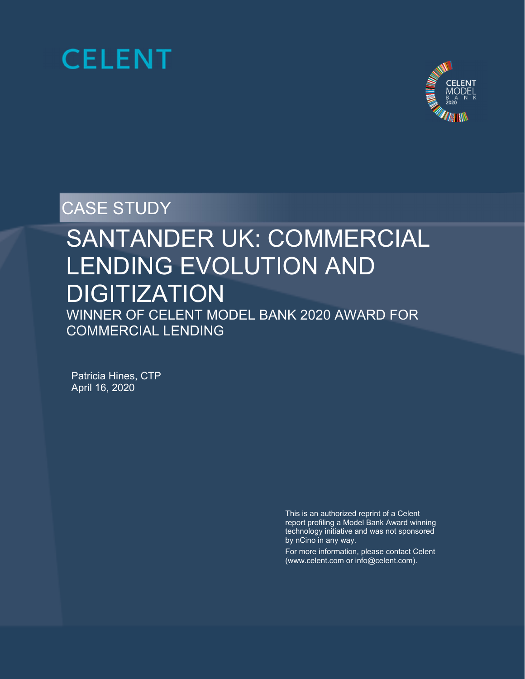



CASE STUDY

# SANTANDER UK: COMMERCIAL LENDING EVOLUTION AND **DIGITIZATION**

Ĩ WINNER OF CELENT MODEL BANK 2020 AWARD FOR COMMERCIAL LENDING

Patricia Hines, CTP April 16, 2020

> This is an authorized reprint of a Celent report profiling a Model Bank Award winning technology initiative and was not sponsored by nCino in any way.

> For more information, please contact Celent (www.celent.com or info@celent.com).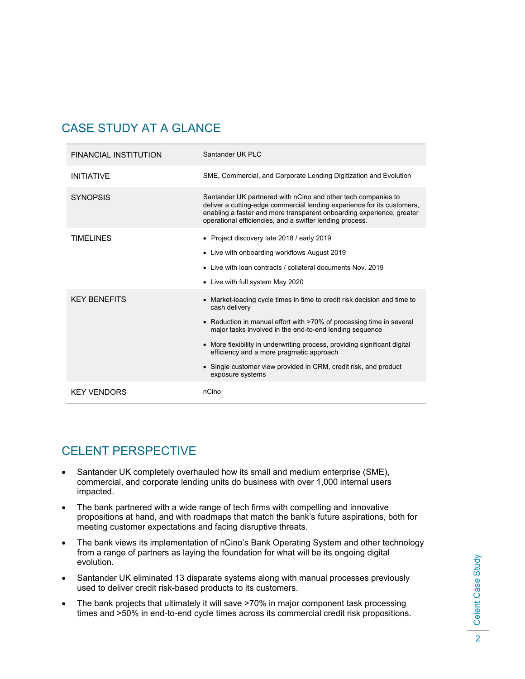# CASE STUDY AT A GLANCE

| <b>FINANCIAL INSTITUTION</b> | Santander UK PLC                                                                                                                                                                                                                                                              |
|------------------------------|-------------------------------------------------------------------------------------------------------------------------------------------------------------------------------------------------------------------------------------------------------------------------------|
| <b>INITIATIVE</b>            | SME, Commercial, and Corporate Lending Digitization and Evolution                                                                                                                                                                                                             |
| <b>SYNOPSIS</b>              | Santander UK partnered with nCino and other tech companies to<br>deliver a cutting-edge commercial lending experience for its customers,<br>enabling a faster and more transparent onboarding experience, greater<br>operational efficiencies, and a swifter lending process. |
| <b>TIMELINES</b>             | • Project discovery late 2018 / early 2019                                                                                                                                                                                                                                    |
|                              | • Live with onboarding workflows August 2019                                                                                                                                                                                                                                  |
|                              | • Live with loan contracts / collateral documents Nov. 2019                                                                                                                                                                                                                   |
|                              |                                                                                                                                                                                                                                                                               |
|                              | • Live with full system May 2020                                                                                                                                                                                                                                              |
| <b>KFY BENFFITS</b>          | • Market-leading cycle times in time to credit risk decision and time to<br>cash delivery                                                                                                                                                                                     |
|                              | • Reduction in manual effort with >70% of processing time in several<br>major tasks involved in the end-to-end lending sequence                                                                                                                                               |
|                              | • More flexibility in underwriting process, providing significant digital<br>efficiency and a more pragmatic approach                                                                                                                                                         |
|                              | • Single customer view provided in CRM, credit risk, and product<br>exposure systems                                                                                                                                                                                          |

# CELENT PERSPECTIVE

- Santander UK completely overhauled how its small and medium enterprise (SME), commercial, and corporate lending units do business with over 1,000 internal users impacted.
- The bank partnered with a wide range of tech firms with compelling and innovative propositions at hand, and with roadmaps that match the bank's future aspirations, both for meeting customer expectations and facing disruptive threats.
- The bank views its implementation of nCino's Bank Operating System and other technology from a range of partners as laying the foundation for what will be its ongoing digital evolution.
- Santander UK eliminated 13 disparate systems along with manual processes previously used to deliver credit risk-based products to its customers.
- The bank projects that ultimately it will save >70% in major component task processing times and >50% in end-to-end cycle times across its commercial credit risk propositions.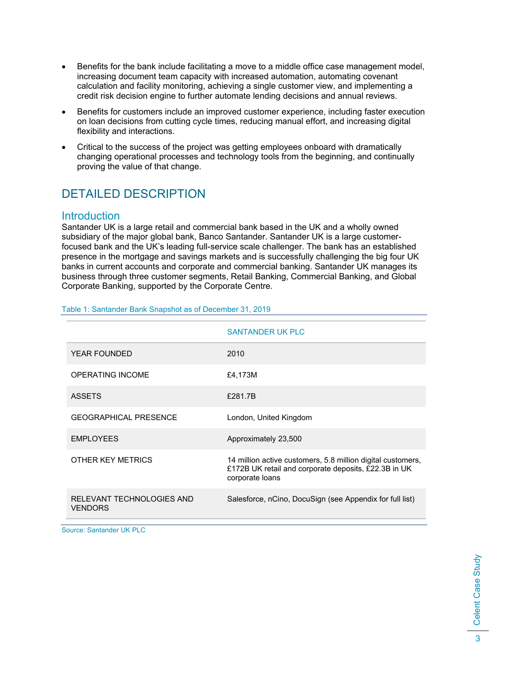- Benefits for the bank include facilitating a move to a middle office case management model, increasing document team capacity with increased automation, automating covenant calculation and facility monitoring, achieving a single customer view, and implementing a credit risk decision engine to further automate lending decisions and annual reviews.
- Benefits for customers include an improved customer experience, including faster execution on loan decisions from cutting cycle times, reducing manual effort, and increasing digital flexibility and interactions.
- Critical to the success of the project was getting employees onboard with dramatically changing operational processes and technology tools from the beginning, and continually proving the value of that change.

# DETAILED DESCRIPTION

# **Introduction**

Santander UK is a large retail and commercial bank based in the UK and a wholly owned subsidiary of the major global bank, Banco Santander. Santander UK is a large customerfocused bank and the UK's leading full-service scale challenger. The bank has an established presence in the mortgage and savings markets and is successfully challenging the big four UK banks in current accounts and corporate and commercial banking. Santander UK manages its business through three customer segments, Retail Banking, Commercial Banking, and Global Corporate Banking, supported by the Corporate Centre.

|                                             | <b>SANTANDER UK PLC</b>                                                                                                                |
|---------------------------------------------|----------------------------------------------------------------------------------------------------------------------------------------|
| <b>YEAR FOUNDED</b>                         | 2010                                                                                                                                   |
| <b>OPERATING INCOME</b>                     | £4,173M                                                                                                                                |
| <b>ASSETS</b>                               | £281.7B                                                                                                                                |
| <b>GEOGRAPHICAL PRESENCE</b>                | London, United Kingdom                                                                                                                 |
| <b>EMPLOYEES</b>                            | Approximately 23,500                                                                                                                   |
| OTHER KEY METRICS                           | 14 million active customers, 5.8 million digital customers,<br>£172B UK retail and corporate deposits, £22.3B in UK<br>corporate loans |
| RELEVANT TECHNOLOGIES AND<br><b>VENDORS</b> | Salesforce, nCino, DocuSign (see Appendix for full list)                                                                               |

#### Table 1: Santander Bank Snapshot as of December 31, 2019

Source: Santander UK PLC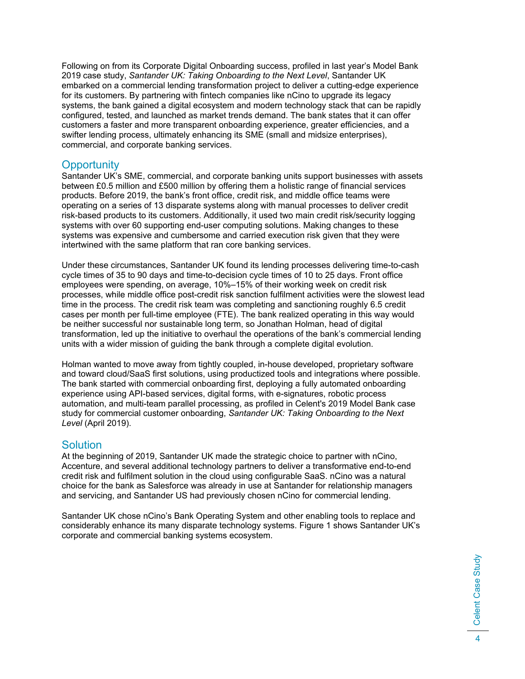Following on from its Corporate Digital Onboarding success, profiled in last year's Model Bank 2019 case study, *Santander UK: Taking Onboarding to the Next Level*, Santander UK embarked on a commercial lending transformation project to deliver a cutting-edge experience for its customers. By partnering with fintech companies like nCino to upgrade its legacy systems, the bank gained a digital ecosystem and modern technology stack that can be rapidly configured, tested, and launched as market trends demand. The bank states that it can offer customers a faster and more transparent onboarding experience, greater efficiencies, and a swifter lending process, ultimately enhancing its SME (small and midsize enterprises), commercial, and corporate banking services.

# **Opportunity**

Santander UK's SME, commercial, and corporate banking units support businesses with assets between £0.5 million and £500 million by offering them a holistic range of financial services products. Before 2019, the bank's front office, credit risk, and middle office teams were operating on a series of 13 disparate systems along with manual processes to deliver credit risk-based products to its customers. Additionally, it used two main credit risk/security logging systems with over 60 supporting end-user computing solutions. Making changes to these systems was expensive and cumbersome and carried execution risk given that they were intertwined with the same platform that ran core banking services.

Under these circumstances, Santander UK found its lending processes delivering time-to-cash cycle times of 35 to 90 days and time-to-decision cycle times of 10 to 25 days. Front office employees were spending, on average, 10%–15% of their working week on credit risk processes, while middle office post-credit risk sanction fulfilment activities were the slowest lead time in the process. The credit risk team was completing and sanctioning roughly 6.5 credit cases per month per full-time employee (FTE). The bank realized operating in this way would be neither successful nor sustainable long term, so Jonathan Holman, head of digital transformation, led up the initiative to overhaul the operations of the bank's commercial lending units with a wider mission of guiding the bank through a complete digital evolution.

Holman wanted to move away from tightly coupled, in-house developed, proprietary software and toward cloud/SaaS first solutions, using productized tools and integrations where possible. The bank started with commercial onboarding first, deploying a fully automated onboarding experience using API-based services, digital forms, with e-signatures, robotic process automation, and multi-team parallel processing, as profiled in Celent's 2019 Model Bank case study for commercial customer onboarding, *Santander UK: Taking Onboarding to the Next Level* (April 2019).

# **Solution**

At the beginning of 2019, Santander UK made the strategic choice to partner with nCino, Accenture, and several additional technology partners to deliver a transformative end-to-end credit risk and fulfilment solution in the cloud using configurable SaaS. nCino was a natural choice for the bank as Salesforce was already in use at Santander for relationship managers and servicing, and Santander US had previously chosen nCino for commercial lending.

Santander UK chose nCino's Bank Operating System and other enabling tools to replace and considerably enhance its many disparate technology systems. Figure 1 shows Santander UK's corporate and commercial banking systems ecosystem.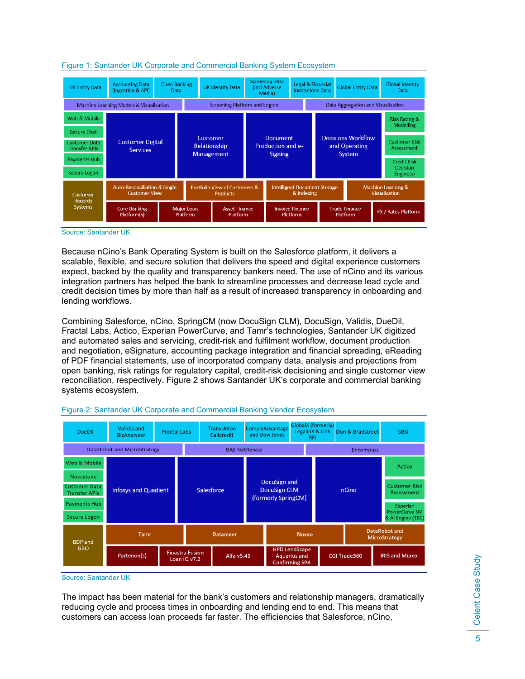

#### Figure 1: Santander UK Corporate and Commercial Banking System Ecosystem

Source: Santander UK

Because nCino's Bank Operating System is built on the Salesforce platform, it delivers a scalable, flexible, and secure solution that delivers the speed and digital experience customers expect, backed by the quality and transparency bankers need. The use of nCino and its various integration partners has helped the bank to streamline processes and decrease lead cycle and credit decision times by more than half as a result of increased transparency in onboarding and lending workflows.

Combining Salesforce, nCino, SpringCM (now DocuSign CLM), DocuSign, Validis, DueDil, Fractal Labs, Actico, Experian PowerCurve, and Tamr's technologies, Santander UK digitized and automated sales and servicing, credit-risk and fulfilment workflow, document production and negotiation, eSignature, accounting package integration and financial spreading, eReading of PDF financial statements, use of incorporated company data, analysis and projections from open banking, risk ratings for regulatory capital, credit-risk decisioning and single customer view reconciliation, respectively. Figure 2 shows Santander UK's corporate and commercial banking systems ecosystem.



#### Figure 2: Santander UK Corporate and Commercial Banking Vendor Ecosystem

Source: Santander UK

The impact has been material for the bank's customers and relationship managers, dramatically reducing cycle and process times in onboarding and lending end to end. This means that customers can access loan proceeds far faster. The efficiencies that Salesforce, nCino,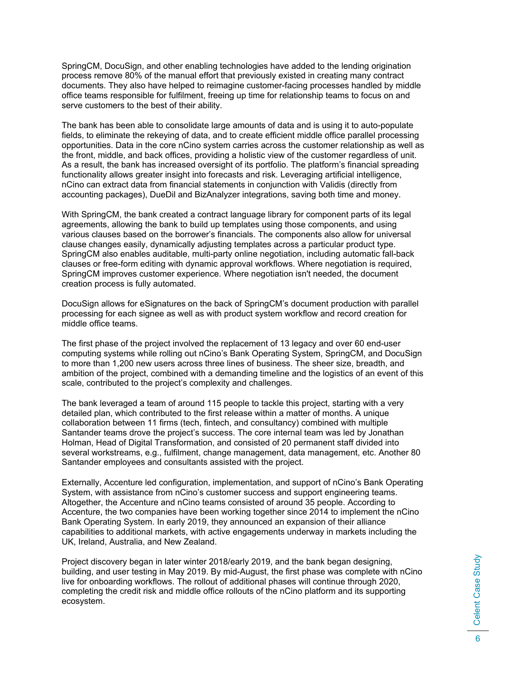SpringCM, DocuSign, and other enabling technologies have added to the lending origination process remove 80% of the manual effort that previously existed in creating many contract documents. They also have helped to reimagine customer-facing processes handled by middle office teams responsible for fulfilment, freeing up time for relationship teams to focus on and serve customers to the best of their ability.

The bank has been able to consolidate large amounts of data and is using it to auto-populate fields, to eliminate the rekeying of data, and to create efficient middle office parallel processing opportunities. Data in the core nCino system carries across the customer relationship as well as the front, middle, and back offices, providing a holistic view of the customer regardless of unit. As a result, the bank has increased oversight of its portfolio. The platform's financial spreading functionality allows greater insight into forecasts and risk. Leveraging artificial intelligence, nCino can extract data from financial statements in conjunction with Validis (directly from accounting packages), DueDil and BizAnalyzer integrations, saving both time and money.

With SpringCM, the bank created a contract language library for component parts of its legal agreements, allowing the bank to build up templates using those components, and using various clauses based on the borrower's financials. The components also allow for universal clause changes easily, dynamically adjusting templates across a particular product type. SpringCM also enables auditable, multi-party online negotiation, including automatic fall-back clauses or free-form editing with dynamic approval workflows. Where negotiation is required, SpringCM improves customer experience. Where negotiation isn't needed, the document creation process is fully automated.

DocuSign allows for eSignatures on the back of SpringCM's document production with parallel processing for each signee as well as with product system workflow and record creation for middle office teams.

The first phase of the project involved the replacement of 13 legacy and over 60 end-user computing systems while rolling out nCino's Bank Operating System, SpringCM, and DocuSign to more than 1,200 new users across three lines of business. The sheer size, breadth, and ambition of the project, combined with a demanding timeline and the logistics of an event of this scale, contributed to the project's complexity and challenges.

The bank leveraged a team of around 115 people to tackle this project, starting with a very detailed plan, which contributed to the first release within a matter of months. A unique collaboration between 11 firms (tech, fintech, and consultancy) combined with multiple Santander teams drove the project's success. The core internal team was led by Jonathan Holman, Head of Digital Transformation, and consisted of 20 permanent staff divided into several workstreams, e.g., fulfilment, change management, data management, etc. Another 80 Santander employees and consultants assisted with the project.

Externally, Accenture led configuration, implementation, and support of nCino's Bank Operating System, with assistance from nCino's customer success and support engineering teams. Altogether, the Accenture and nCino teams consisted of around 35 people. According to Accenture, the two companies have been working together since 2014 to implement the nCino Bank Operating System. In early 2019, they announced an expansion of their alliance capabilities to additional markets, with active engagements underway in markets including the UK, Ireland, Australia, and New Zealand.

Project discovery began in later winter 2018/early 2019, and the bank began designing, building, and user testing in May 2019. By mid-August, the first phase was complete with nCino live for onboarding workflows. The rollout of additional phases will continue through 2020, completing the credit risk and middle office rollouts of the nCino platform and its supporting ecosystem.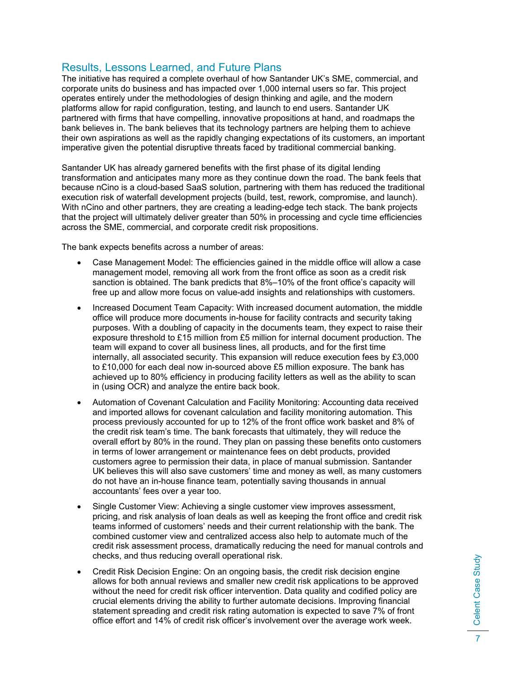# Results, Lessons Learned, and Future Plans

The initiative has required a complete overhaul of how Santander UK's SME, commercial, and corporate units do business and has impacted over 1,000 internal users so far. This project operates entirely under the methodologies of design thinking and agile, and the modern platforms allow for rapid configuration, testing, and launch to end users. Santander UK partnered with firms that have compelling, innovative propositions at hand, and roadmaps the bank believes in. The bank believes that its technology partners are helping them to achieve their own aspirations as well as the rapidly changing expectations of its customers, an important imperative given the potential disruptive threats faced by traditional commercial banking.

Santander UK has already garnered benefits with the first phase of its digital lending transformation and anticipates many more as they continue down the road. The bank feels that because nCino is a cloud-based SaaS solution, partnering with them has reduced the traditional execution risk of waterfall development projects (build, test, rework, compromise, and launch). With nCino and other partners, they are creating a leading-edge tech stack. The bank projects that the project will ultimately deliver greater than 50% in processing and cycle time efficiencies across the SME, commercial, and corporate credit risk propositions.

The bank expects benefits across a number of areas:

- Case Management Model: The efficiencies gained in the middle office will allow a case management model, removing all work from the front office as soon as a credit risk sanction is obtained. The bank predicts that 8%–10% of the front office's capacity will free up and allow more focus on value-add insights and relationships with customers.
- Increased Document Team Capacity: With increased document automation, the middle office will produce more documents in-house for facility contracts and security taking purposes. With a doubling of capacity in the documents team, they expect to raise their exposure threshold to £15 million from £5 million for internal document production. The team will expand to cover all business lines, all products, and for the first time internally, all associated security. This expansion will reduce execution fees by £3,000 to £10,000 for each deal now in-sourced above £5 million exposure. The bank has achieved up to 80% efficiency in producing facility letters as well as the ability to scan in (using OCR) and analyze the entire back book.
- Automation of Covenant Calculation and Facility Monitoring: Accounting data received and imported allows for covenant calculation and facility monitoring automation. This process previously accounted for up to 12% of the front office work basket and 8% of the credit risk team's time. The bank forecasts that ultimately, they will reduce the overall effort by 80% in the round. They plan on passing these benefits onto customers in terms of lower arrangement or maintenance fees on debt products, provided customers agree to permission their data, in place of manual submission. Santander UK believes this will also save customers' time and money as well, as many customers do not have an in-house finance team, potentially saving thousands in annual accountants' fees over a year too.
- Single Customer View: Achieving a single customer view improves assessment, pricing, and risk analysis of loan deals as well as keeping the front office and credit risk teams informed of customers' needs and their current relationship with the bank. The combined customer view and centralized access also help to automate much of the credit risk assessment process, dramatically reducing the need for manual controls and checks, and thus reducing overall operational risk.
- Credit Risk Decision Engine: On an ongoing basis, the credit risk decision engine allows for both annual reviews and smaller new credit risk applications to be approved without the need for credit risk officer intervention. Data quality and codified policy are crucial elements driving the ability to further automate decisions. Improving financial statement spreading and credit risk rating automation is expected to save 7% of front office effort and 14% of credit risk officer's involvement over the average work week.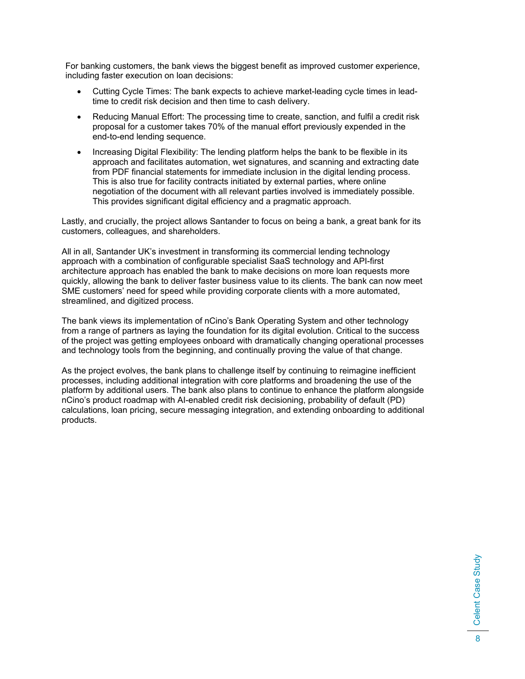For banking customers, the bank views the biggest benefit as improved customer experience, including faster execution on loan decisions:

- Cutting Cycle Times: The bank expects to achieve market-leading cycle times in leadtime to credit risk decision and then time to cash delivery.
- Reducing Manual Effort: The processing time to create, sanction, and fulfil a credit risk proposal for a customer takes 70% of the manual effort previously expended in the end-to-end lending sequence.
- Increasing Digital Flexibility: The lending platform helps the bank to be flexible in its approach and facilitates automation, wet signatures, and scanning and extracting date from PDF financial statements for immediate inclusion in the digital lending process. This is also true for facility contracts initiated by external parties, where online negotiation of the document with all relevant parties involved is immediately possible. This provides significant digital efficiency and a pragmatic approach.

Lastly, and crucially, the project allows Santander to focus on being a bank, a great bank for its customers, colleagues, and shareholders.

All in all, Santander UK's investment in transforming its commercial lending technology approach with a combination of configurable specialist SaaS technology and API-first architecture approach has enabled the bank to make decisions on more loan requests more quickly, allowing the bank to deliver faster business value to its clients. The bank can now meet SME customers' need for speed while providing corporate clients with a more automated, streamlined, and digitized process.

The bank views its implementation of nCino's Bank Operating System and other technology from a range of partners as laying the foundation for its digital evolution. Critical to the success of the project was getting employees onboard with dramatically changing operational processes and technology tools from the beginning, and continually proving the value of that change.

As the project evolves, the bank plans to challenge itself by continuing to reimagine inefficient processes, including additional integration with core platforms and broadening the use of the platform by additional users. The bank also plans to continue to enhance the platform alongside nCino's product roadmap with AI-enabled credit risk decisioning, probability of default (PD) calculations, loan pricing, secure messaging integration, and extending onboarding to additional products.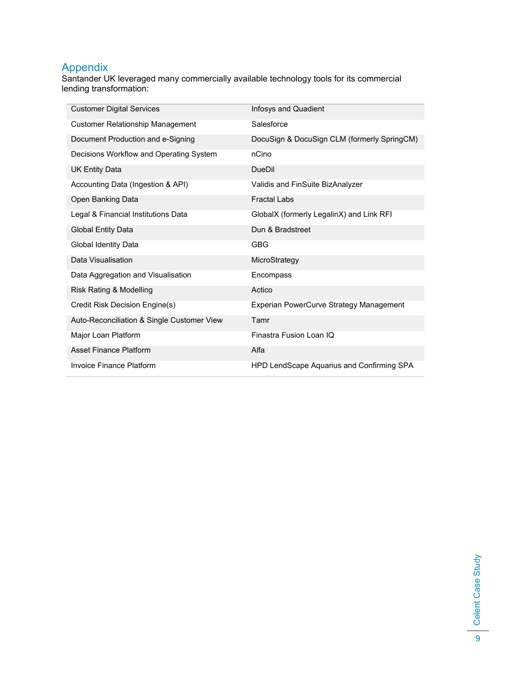# **Appendix**

Santander UK leveraged many commercially available technology tools for its commercial lending transformation:

| <b>Customer Digital Services</b>           | Infosys and Quadient                        |
|--------------------------------------------|---------------------------------------------|
| <b>Customer Relationship Management</b>    | Salesforce                                  |
| Document Production and e-Signing          | DocuSign & DocuSign CLM (formerly SpringCM) |
| Decisions Workflow and Operating System    | nCino                                       |
| <b>UK Entity Data</b>                      | <b>DueDil</b>                               |
| Accounting Data (Ingestion & API)          | Validis and FinSuite BizAnalyzer            |
| Open Banking Data                          | <b>Fractal Labs</b>                         |
| Legal & Financial Institutions Data        | GlobalX (formerly LegalinX) and Link RFI    |
| <b>Global Entity Data</b>                  | Dun & Bradstreet                            |
| Global Identity Data                       | <b>GBG</b>                                  |
| Data Visualisation                         | MicroStrategy                               |
| Data Aggregation and Visualisation         | Encompass                                   |
| Risk Rating & Modelling                    | Actico                                      |
| Credit Risk Decision Engine(s)             | Experian PowerCurve Strategy Management     |
| Auto-Reconciliation & Single Customer View | Tamr                                        |
| Major Loan Platform                        | Finastra Fusion Loan IQ                     |
| <b>Asset Finance Platform</b>              | Alfa                                        |
| <b>Invoice Finance Platform</b>            | HPD LendScape Aquarius and Confirming SPA   |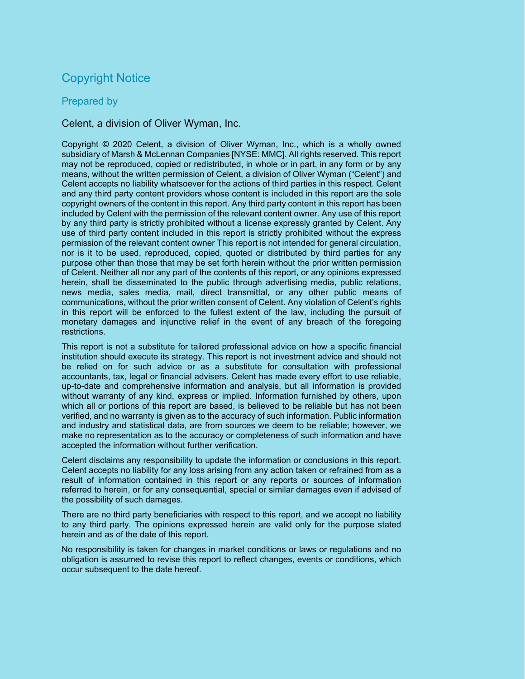# Copyright Notice

# Prepared by

# Celent, a division of Oliver Wyman, Inc.

Copyright © 2020 Celent, a division of Oliver Wyman, Inc., which is a wholly owned subsidiary of Marsh & McLennan Companies [NYSE: MMC]. All rights reserved. This report may not be reproduced, copied or redistributed, in whole or in part, in any form or by any means, without the written permission of Celent, a division of Oliver Wyman ("Celent") and Celent accepts no liability whatsoever for the actions of third parties in this respect. Celent and any third party content providers whose content is included in this report are the sole copyright owners of the content in this report. Any third party content in this report has been included by Celent with the permission of the relevant content owner. Any use of this report by any third party is strictly prohibited without a license expressly granted by Celent. Any use of third party content included in this report is strictly prohibited without the express permission of the relevant content owner This report is not intended for general circulation, nor is it to be used, reproduced, copied, quoted or distributed by third parties for any purpose other than those that may be set forth herein without the prior written permission of Celent. Neither all nor any part of the contents of this report, or any opinions expressed herein, shall be disseminated to the public through advertising media, public relations, news media, sales media, mail, direct transmittal, or any other public means of communications, without the prior written consent of Celent. Any violation of Celent's rights in this report will be enforced to the fullest extent of the law, including the pursuit of monetary damages and injunctive relief in the event of any breach of the foregoing restrictions.

This report is not a substitute for tailored professional advice on how a specific financial institution should execute its strategy. This report is not investment advice and should not be relied on for such advice or as a substitute for consultation with professional accountants, tax, legal or financial advisers. Celent has made every effort to use reliable, up-to-date and comprehensive information and analysis, but all information is provided without warranty of any kind, express or implied. Information furnished by others, upon which all or portions of this report are based, is believed to be reliable but has not been verified, and no warranty is given as to the accuracy of such information. Public information and industry and statistical data, are from sources we deem to be reliable; however, we make no representation as to the accuracy or completeness of such information and have accepted the information without further verification.

Celent disclaims any responsibility to update the information or conclusions in this report. Celent accepts no liability for any loss arising from any action taken or refrained from as a result of information contained in this report or any reports or sources of information referred to herein, or for any consequential, special or similar damages even if advised of the possibility of such damages.

There are no third party beneficiaries with respect to this report, and we accept no liability to any third party. The opinions expressed herein are valid only for the purpose stated herein and as of the date of this report.

No responsibility is taken for changes in market conditions or laws or regulations and no obligation is assumed to revise this report to reflect changes, events or conditions, which occur subsequent to the date hereof.